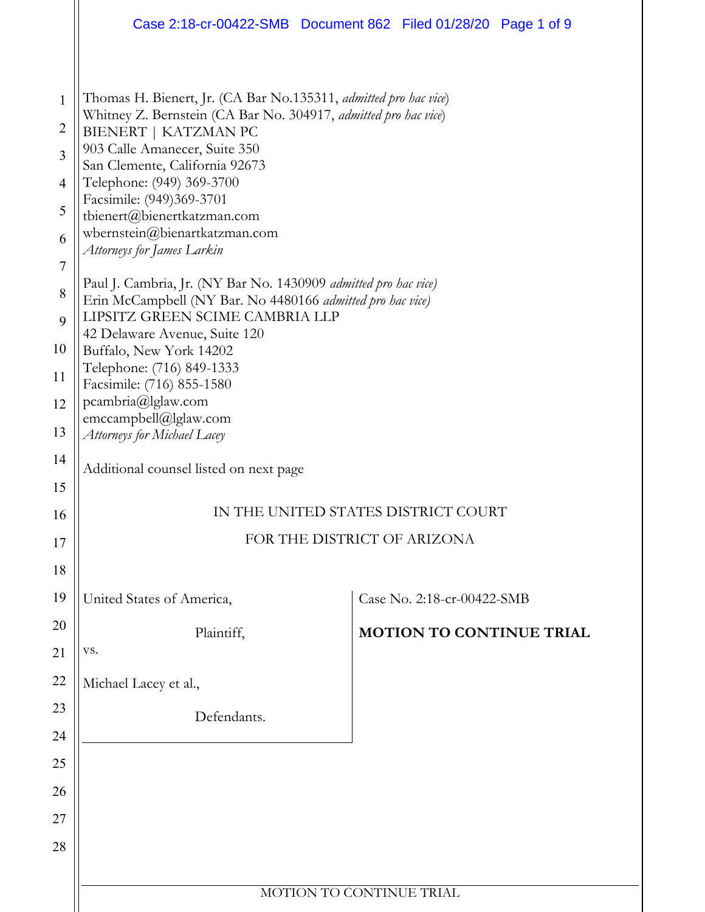|                                                                                                                     | Case 2:18-cr-00422-SMB  Document 862  Filed 01/28/20  Page 1 of 9                                                                                                                                                                                                                                                                                                                                                                                                                                                                                                                                                                                                                                                                      |  |                                 |  |  |
|---------------------------------------------------------------------------------------------------------------------|----------------------------------------------------------------------------------------------------------------------------------------------------------------------------------------------------------------------------------------------------------------------------------------------------------------------------------------------------------------------------------------------------------------------------------------------------------------------------------------------------------------------------------------------------------------------------------------------------------------------------------------------------------------------------------------------------------------------------------------|--|---------------------------------|--|--|
| $\mathbf{1}$<br>$\overline{2}$<br>3<br>$\overline{4}$<br>5<br>6<br>$\overline{7}$<br>8<br>9<br>10<br>11<br>12<br>13 | Thomas H. Bienert, Jr. (CA Bar No.135311, <i>admitted pro hac vice</i> )<br>Whitney Z. Bernstein (CA Bar No. 304917, admitted pro hac vice)<br>BIENERT   KATZMAN PC<br>903 Calle Amanecer, Suite 350<br>San Clemente, California 92673<br>Telephone: (949) 369-3700<br>Facsimile: (949)369-3701<br>tbienert@bienertkatzman.com<br>wbernstein@bienartkatzman.com<br>Attorneys for James Larkin<br>Paul J. Cambria, Jr. (NY Bar No. 1430909 admitted pro hac vice)<br>Erin McCampbell (NY Bar. No 4480166 admitted pro hac vice)<br>LIPSITZ GREEN SCIME CAMBRIA LLP<br>42 Delaware Avenue, Suite 120<br>Buffalo, New York 14202<br>Telephone: (716) 849-1333<br>Facsimile: (716) 855-1580<br>pcambria@lglaw.com<br>emccampbell@lglaw.com |  |                                 |  |  |
| 14                                                                                                                  | Attorneys for Michael Lacey<br>Additional counsel listed on next page                                                                                                                                                                                                                                                                                                                                                                                                                                                                                                                                                                                                                                                                  |  |                                 |  |  |
| 15                                                                                                                  |                                                                                                                                                                                                                                                                                                                                                                                                                                                                                                                                                                                                                                                                                                                                        |  |                                 |  |  |
| 16                                                                                                                  | IN THE UNITED STATES DISTRICT COURT                                                                                                                                                                                                                                                                                                                                                                                                                                                                                                                                                                                                                                                                                                    |  |                                 |  |  |
| 17                                                                                                                  | FOR THE DISTRICT OF ARIZONA                                                                                                                                                                                                                                                                                                                                                                                                                                                                                                                                                                                                                                                                                                            |  |                                 |  |  |
| 18                                                                                                                  |                                                                                                                                                                                                                                                                                                                                                                                                                                                                                                                                                                                                                                                                                                                                        |  |                                 |  |  |
| 19                                                                                                                  | United States of America,                                                                                                                                                                                                                                                                                                                                                                                                                                                                                                                                                                                                                                                                                                              |  | Case No. 2:18-cr-00422-SMB      |  |  |
| 20                                                                                                                  | Plaintiff,                                                                                                                                                                                                                                                                                                                                                                                                                                                                                                                                                                                                                                                                                                                             |  | <b>MOTION TO CONTINUE TRIAL</b> |  |  |
| 21                                                                                                                  | VS.                                                                                                                                                                                                                                                                                                                                                                                                                                                                                                                                                                                                                                                                                                                                    |  |                                 |  |  |
| 22                                                                                                                  | Michael Lacey et al.,                                                                                                                                                                                                                                                                                                                                                                                                                                                                                                                                                                                                                                                                                                                  |  |                                 |  |  |
| 23                                                                                                                  | Defendants.                                                                                                                                                                                                                                                                                                                                                                                                                                                                                                                                                                                                                                                                                                                            |  |                                 |  |  |
| 24<br>25                                                                                                            |                                                                                                                                                                                                                                                                                                                                                                                                                                                                                                                                                                                                                                                                                                                                        |  |                                 |  |  |
| 26                                                                                                                  |                                                                                                                                                                                                                                                                                                                                                                                                                                                                                                                                                                                                                                                                                                                                        |  |                                 |  |  |
| 27                                                                                                                  |                                                                                                                                                                                                                                                                                                                                                                                                                                                                                                                                                                                                                                                                                                                                        |  |                                 |  |  |
| 28                                                                                                                  |                                                                                                                                                                                                                                                                                                                                                                                                                                                                                                                                                                                                                                                                                                                                        |  |                                 |  |  |
|                                                                                                                     |                                                                                                                                                                                                                                                                                                                                                                                                                                                                                                                                                                                                                                                                                                                                        |  |                                 |  |  |
|                                                                                                                     | MOTION TO CONTINUE TRIAL                                                                                                                                                                                                                                                                                                                                                                                                                                                                                                                                                                                                                                                                                                               |  |                                 |  |  |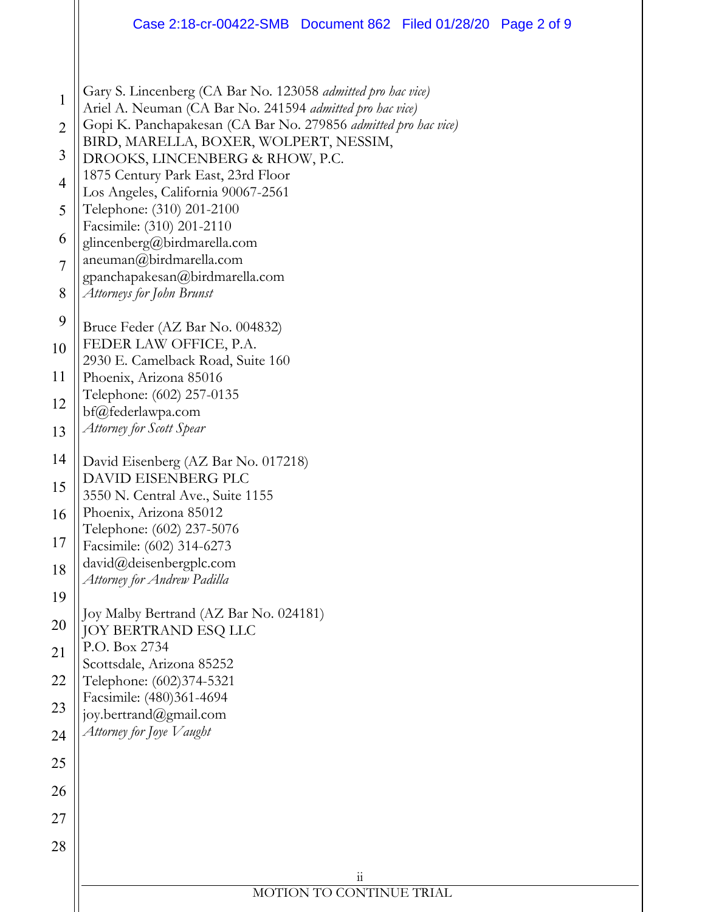|                                                                                                  | Case 2:18-cr-00422-SMB  Document 862  Filed 01/28/20  Page 2 of 9                                                                                                                                                                                                                                                                                                                                                                                                                                                                                                                                                                                                                                                      |  |  |  |
|--------------------------------------------------------------------------------------------------|------------------------------------------------------------------------------------------------------------------------------------------------------------------------------------------------------------------------------------------------------------------------------------------------------------------------------------------------------------------------------------------------------------------------------------------------------------------------------------------------------------------------------------------------------------------------------------------------------------------------------------------------------------------------------------------------------------------------|--|--|--|
| $\mathbf{1}$<br>$\overline{2}$<br>3<br>4<br>5<br>6<br>$\overline{7}$<br>8<br>9<br>10<br>11<br>12 | Gary S. Lincenberg (CA Bar No. 123058 admitted pro hac vice)<br>Ariel A. Neuman (CA Bar No. 241594 admitted pro hac vice)<br>Gopi K. Panchapakesan (CA Bar No. 279856 admitted pro hac vice)<br>BIRD, MARELLA, BOXER, WOLPERT, NESSIM,<br>DROOKS, LINCENBERG & RHOW, P.C.<br>1875 Century Park East, 23rd Floor<br>Los Angeles, California 90067-2561<br>Telephone: (310) 201-2100<br>Facsimile: (310) 201-2110<br>glincenberg@birdmarella.com<br>aneuman@birdmarella.com<br>gpanchapakesan@birdmarella.com<br>Attorneys for John Brunst<br>Bruce Feder (AZ Bar No. 004832)<br>FEDER LAW OFFICE, P.A.<br>2930 E. Camelback Road, Suite 160<br>Phoenix, Arizona 85016<br>Telephone: (602) 257-0135<br>bf@federlawpa.com |  |  |  |
| 13                                                                                               | Attorney for Scott Spear                                                                                                                                                                                                                                                                                                                                                                                                                                                                                                                                                                                                                                                                                               |  |  |  |
| 14<br>15<br>16<br>17<br>18<br>19<br>20                                                           | David Eisenberg (AZ Bar No. 017218)<br>DAVID EISENBERG PLC<br>3550 N. Central Ave., Suite 1155<br>Phoenix, Arizona 85012<br>Telephone: (602) 237-5076<br>Facsimile: (602) 314-6273<br>david@deisenbergplc.com<br>Attorney for Andrew Padilla<br>Joy Malby Bertrand (AZ Bar No. 024181)<br>JOY BERTRAND ESQ LLC<br>P.O. Box 2734                                                                                                                                                                                                                                                                                                                                                                                        |  |  |  |
| 21<br>22<br>23                                                                                   | Scottsdale, Arizona 85252<br>Telephone: (602)374-5321<br>Facsimile: (480)361-4694<br>joy.bertrand@gmail.com                                                                                                                                                                                                                                                                                                                                                                                                                                                                                                                                                                                                            |  |  |  |
| 24                                                                                               | Attorney for Joye Vaught                                                                                                                                                                                                                                                                                                                                                                                                                                                                                                                                                                                                                                                                                               |  |  |  |
| 25                                                                                               |                                                                                                                                                                                                                                                                                                                                                                                                                                                                                                                                                                                                                                                                                                                        |  |  |  |
| 26<br>27                                                                                         |                                                                                                                                                                                                                                                                                                                                                                                                                                                                                                                                                                                                                                                                                                                        |  |  |  |
| 28                                                                                               |                                                                                                                                                                                                                                                                                                                                                                                                                                                                                                                                                                                                                                                                                                                        |  |  |  |
|                                                                                                  | $11\,$<br>MOTION TO CONTINUE TRIAL                                                                                                                                                                                                                                                                                                                                                                                                                                                                                                                                                                                                                                                                                     |  |  |  |
|                                                                                                  |                                                                                                                                                                                                                                                                                                                                                                                                                                                                                                                                                                                                                                                                                                                        |  |  |  |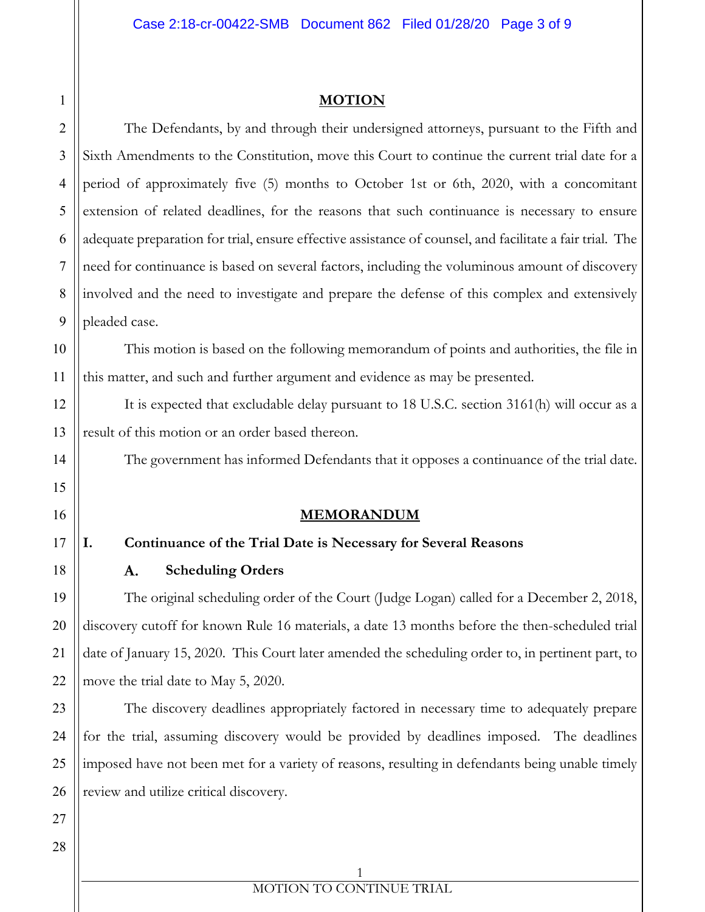#### **MOTION**

The Defendants, by and through their undersigned attorneys, pursuant to the Fifth and Sixth Amendments to the Constitution, move this Court to continue the current trial date for a period of approximately five (5) months to October 1st or 6th, 2020, with a concomitant extension of related deadlines, for the reasons that such continuance is necessary to ensure adequate preparation for trial, ensure effective assistance of counsel, and facilitate a fair trial. The need for continuance is based on several factors, including the voluminous amount of discovery involved and the need to investigate and prepare the defense of this complex and extensively pleaded case.

This motion is based on the following memorandum of points and authorities, the file in this matter, and such and further argument and evidence as may be presented.

It is expected that excludable delay pursuant to 18 U.S.C. section 3161(h) will occur as a result of this motion or an order based thereon.

The government has informed Defendants that it opposes a continuance of the trial date.

## **MEMORANDUM**

## **I. Continuance of the Trial Date is Necessary for Several Reasons**

**Scheduling Orders** A.

The original scheduling order of the Court (Judge Logan) called for a December 2, 2018, discovery cutoff for known Rule 16 materials, a date 13 months before the then-scheduled trial date of January 15, 2020. This Court later amended the scheduling order to, in pertinent part, to move the trial date to May 5, 2020.

The discovery deadlines appropriately factored in necessary time to adequately prepare for the trial, assuming discovery would be provided by deadlines imposed. The deadlines imposed have not been met for a variety of reasons, resulting in defendants being unable timely review and utilize critical discovery.

1

2

3

4

5

6

7

8

9

10

11

12

13

14

15

16

17

18

19

20

21

22

23

24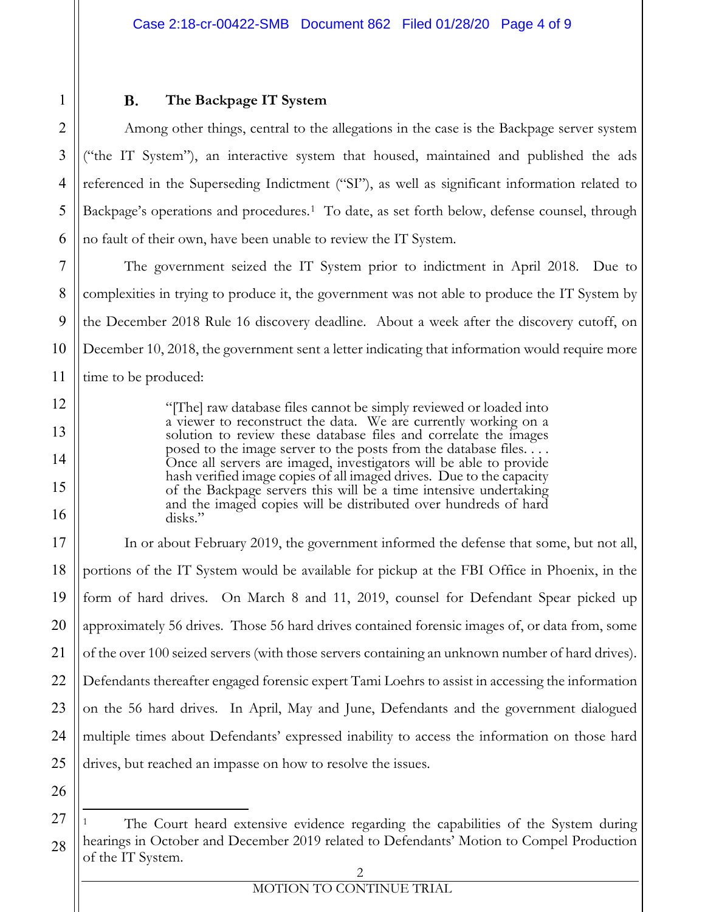Among other things, central to the allegations in the case is the Backpage server system ("the IT System"), an interactive system that housed, maintained and published the ads referenced in the Superseding Indictment ("SI"), as well as significant information related to Backpage's operations and procedures.<sup>1</sup> To date, as set forth below, defense counsel, through no fault of their own, have been unable to review the IT System.

The government seized the IT System prior to indictment in April 2018. Due to complexities in trying to produce it, the government was not able to produce the IT System by the December 2018 Rule 16 discovery deadline. About a week after the discovery cutoff, on December 10, 2018, the government sent a letter indicating that information would require more time to be produced:

> "[The] raw database files cannot be simply reviewed or loaded into a viewer to reconstruct the data. We are currently working on a solution to review these database files and correlate the images posed to the image server to the posts from the database files. . . . Once all servers are imaged, investigators will be able to provide hash verified image copies of all imaged drives. Due to the capacity of the Backpage servers this will be a time intensive undertaking and the imaged copies will be distributed over hundreds of hard disks."

12345678910111213141516171819202122232425262728**The Backpage IT System** In or about February 2019, the government informed the defense that some, but not all, portions of the IT System would be available for pickup at the FBI Office in Phoenix, in the form of hard drives. On March 8 and 11, 2019, counsel for Defendant Spear picked up approximately 56 drives. Those 56 hard drives contained forensic images of, or data from, some of the over 100 seized servers (with those servers containing an unknown number of hard drives). Defendants thereafter engaged forensic expert Tami Loehrs to assist in accessing the information on the 56 hard drives. In April, May and June, Defendants and the government dialogued multiple times about Defendants' expressed inability to access the information on those hard drives, but reached an impasse on how to resolve the issues.

26 27

<span id="page-3-0"></span>28

1

2

3

4

5

6

7

8

9

10

11

12

13

14

15

16

17

18

19

20

21

22

23

24

The Court heard extensive evidence regarding the capabilities of the System during hearings in October and December 2019 related to Defendants' Motion to Compel Production of the IT System.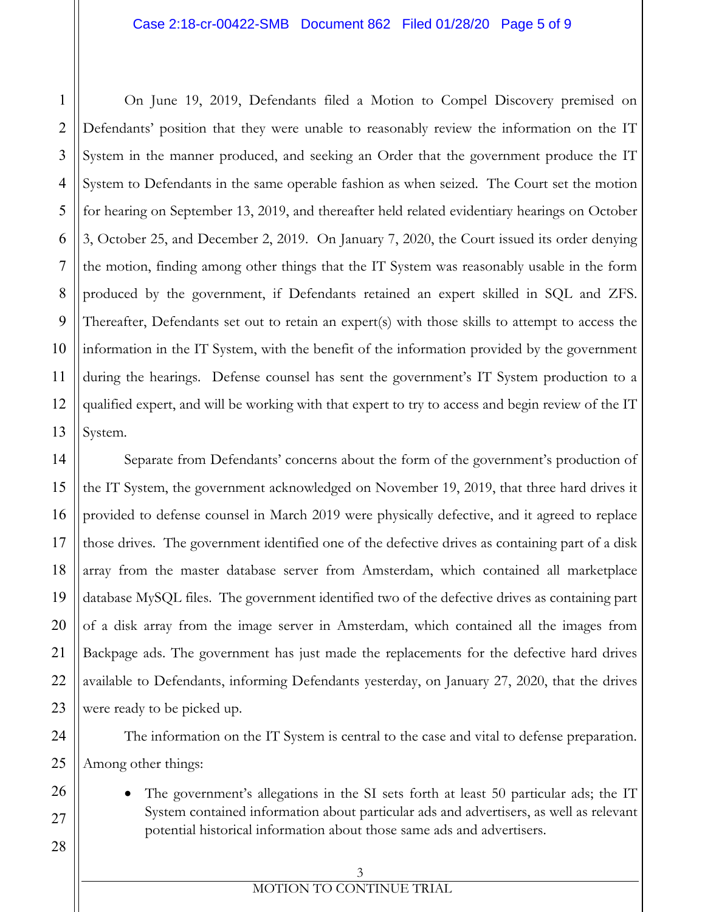#### Case 2:18-cr-00422-SMB Document 862 Filed 01/28/20 Page 5 of 9

10 12 On Jime D, 2019, Defendants filed a Motion to Compel Discovery premised on<br>24 Defendants' position in at they were unable to reasonably review the information on the TI<br>System in the manner produced, and stelling in Ord Defendants' position that they were unable to reasonably review the information on the IT System in the manner produced, and seeking an Order that the government produce the IT System to Defendants in the same operable fashion as when seized. The Court set the motion for hearing on September 13, 2019, and thereafter held related evidentiary hearings on October 3, October 25, and December 2, 2019. On January 7, 2020, the Court issued its order denying the motion, finding among other things that the IT System was reasonably usable in the form produced by the government, if Defendants retained an expert skilled in SQL and ZFS. Thereafter, Defendants set out to retain an expert(s) with those skills to attempt to access the information in the IT System, with the benefit of the information provided by the government during the hearings. Defense counsel has sent the government's IT System production to a qualified expert, and will be working with that expert to try to access and begin review of the IT System.

Separate from Defendants' concerns about the form of the government's production of the IT System, the government acknowledged on November 19, 2019, that three hard drives it provided to defense counsel in March 2019 were physically defective, and it agreed to replace those drives. The government identified one of the defective drives as containing part of a disk array from the master database server from Amsterdam, which contained all marketplace database MySQL files. The government identified two of the defective drives as containing part of a disk array from the image server in Amsterdam, which contained all the images from Backpage ads. The government has just made the replacements for the defective hard drives available to Defendants, informing Defendants yesterday, on January 27, 2020, that the drives were ready to be picked up.

The information on the IT System is central to the case and vital to defense preparation. Among other things:

The government's allegations in the SI sets forth at least 50 particular ads; the IT System contained information about particular ads and advertisers, as well as relevant potential historical information about those same ads and advertisers.

# 3

1

2

3

4

5

6

7

8

9

11

12

13

14

15

16

17

18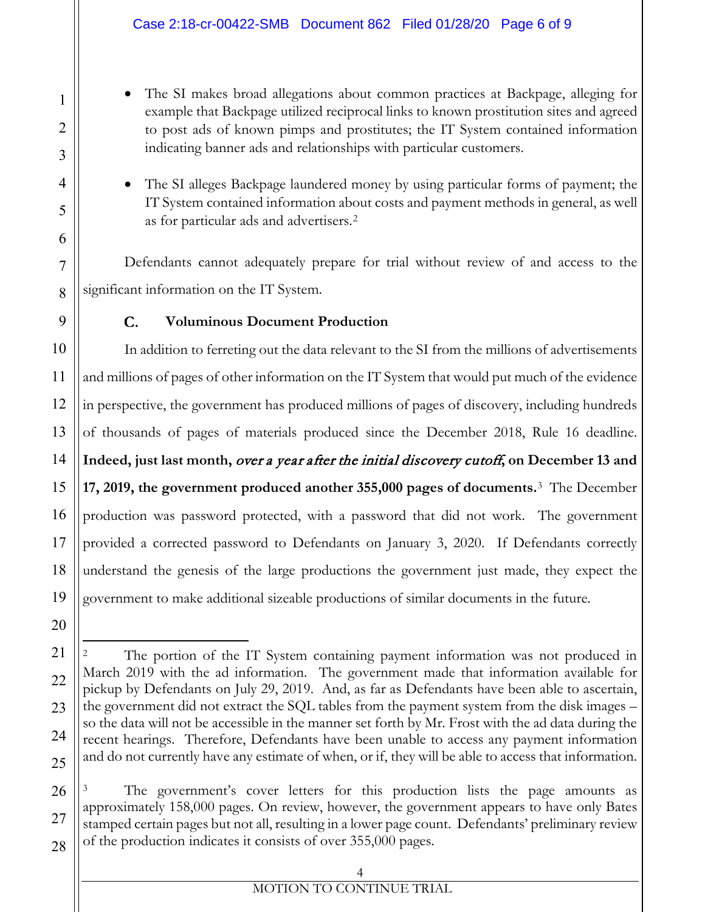- example that Backpage utilized reciprocal links to known prostitution sites and agreed to post ads of known pimps and prostitutes; the IT System contained information indicating banner ads and relationships with particular customers.
- The SI alleges Backpage laundered money by using particular forms of payment; the IT System contained information about costs and payment methods in general, as well as for particular ads and advertisers.[2](#page-5-0)

Defendants cannot adequately prepare for trial without review of and access to the significant information on the IT System.

# **Voluminous Document Production**

The SI means three about diagnoins about common precises at Backpage, alleging for a more also of known principle indicating hanner ads and common provincing in The Single Backpage involvements in F11 System contained inf In addition to ferreting out the data relevant to the SI from the millions of advertisements and millions of pages of other information on the IT System that would put much of the evidence in perspective, the government has produced millions of pages of discovery, including hundreds of thousands of pages of materials produced since the December 2018, Rule 16 deadline. **Indeed, just last month,** over a year after the initial discovery cutoff**, on December 13 and 17, 2019, the government produced another 355,000 pages of documents.**[3](#page-5-1) The December production was password protected, with a password that did not work. The government provided a corrected password to Defendants on January 3, 2020. If Defendants correctly understand the genesis of the large productions the government just made, they expect the government to make additional sizeable productions of similar documents in the future.

<span id="page-5-1"></span>The government's cover letters for this production lists the page amounts as approximately 158,000 pages. On review, however, the government appears to have only Bates stamped certain pages but not all, resulting in a lower page count. Defendants' preliminary review of the production indicates it consists of over 355,000 pages.

# 4

# MOTION TO CONTINUE TRIAL

<span id="page-5-0"></span>The portion of the IT System containing payment information was not produced in March 2019 with the ad information. The government made that information available for pickup by Defendants on July 29, 2019. And, as far as Defendants have been able to ascertain, the government did not extract the SQL tables from the payment system from the disk images – so the data will not be accessible in the manner set forth by Mr. Frost with the ad data during the recent hearings. Therefore, Defendants have been unable to access any payment information and do not currently have any estimate of when, or if, they will be able to access that information.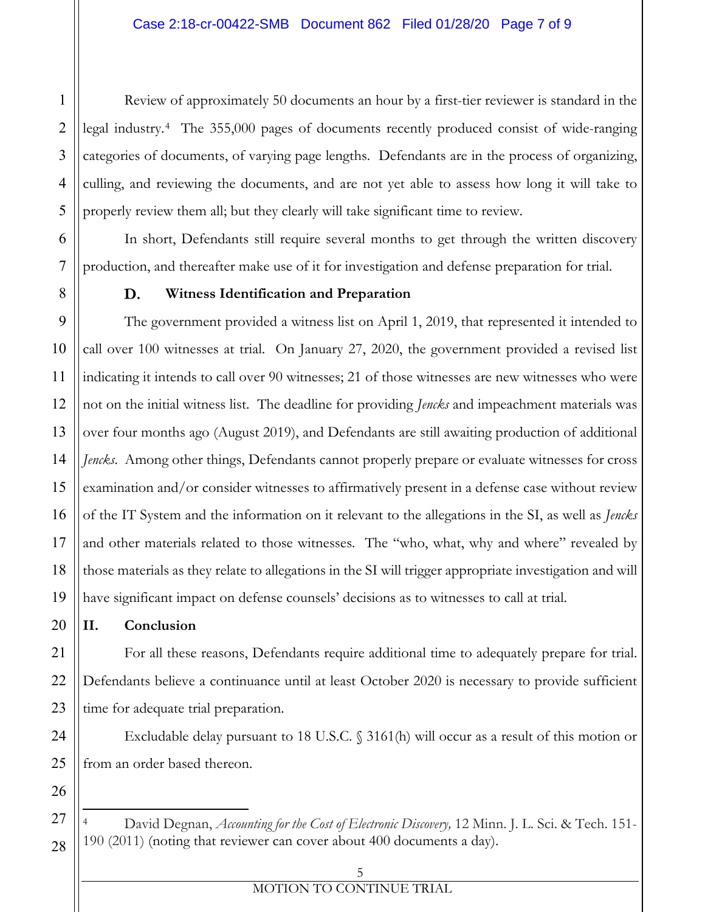legal industry.[4](#page-6-0) The 355,000 pages of documents recently produced consist of wide-ranging categories of documents, of varying page lengths. Defendants are in the process of organizing, culling, and reviewing the documents, and are not yet able to assess how long it will take to properly review them all; but they clearly will take significant time to review.

In short, Defendants still require several months to get through the written discovery production, and thereafter make use of it for investigation and defense preparation for trial.

#### **Witness Identification and Preparation**

12<br>
1234 legal industry<sup>41</sup> 116. 358,5,000 pages of documents secondy produced consists of the cargonics of interversions of varying page lengths. Defendants are not be process of organising<br>
4 categories of documents, or The government provided a witness list on April 1, 2019, that represented it intended to call over 100 witnesses at trial. On January 27, 2020, the government provided a revised list indicating it intends to call over 90 witnesses; 21 of those witnesses are new witnesses who were not on the initial witness list. The deadline for providing *Jencks* and impeachment materials was over four months ago (August 2019), and Defendants are still awaiting production of additional *Jencks*. Among other things, Defendants cannot properly prepare or evaluate witnesses for cross examination and/or consider witnesses to affirmatively present in a defense case without review of the IT System and the information on it relevant to the allegations in the SI, as well as *Jencks* and other materials related to those witnesses. The "who, what, why and where" revealed by those materials as they relate to allegations in the SI will trigger appropriate investigation and will have significant impact on defense counsels' decisions as to witnesses to call at trial.

## **II. Conclusion**

For all these reasons, Defendants require additional time to adequately prepare for trial. Defendants believe a continuance until at least October 2020 is necessary to provide sufficient time for adequate trial preparation.

Excludable delay pursuant to 18 U.S.C. § 3161(h) will occur as a result of this motion or from an order based thereon.

<span id="page-6-0"></span><sup>4</sup> David Degnan, *Accounting for the Cost of Electronic Discovery,* 12 Minn. J. L. Sci. & Tech. 151- 190 (2011) (noting that reviewer can cover about 400 documents a day).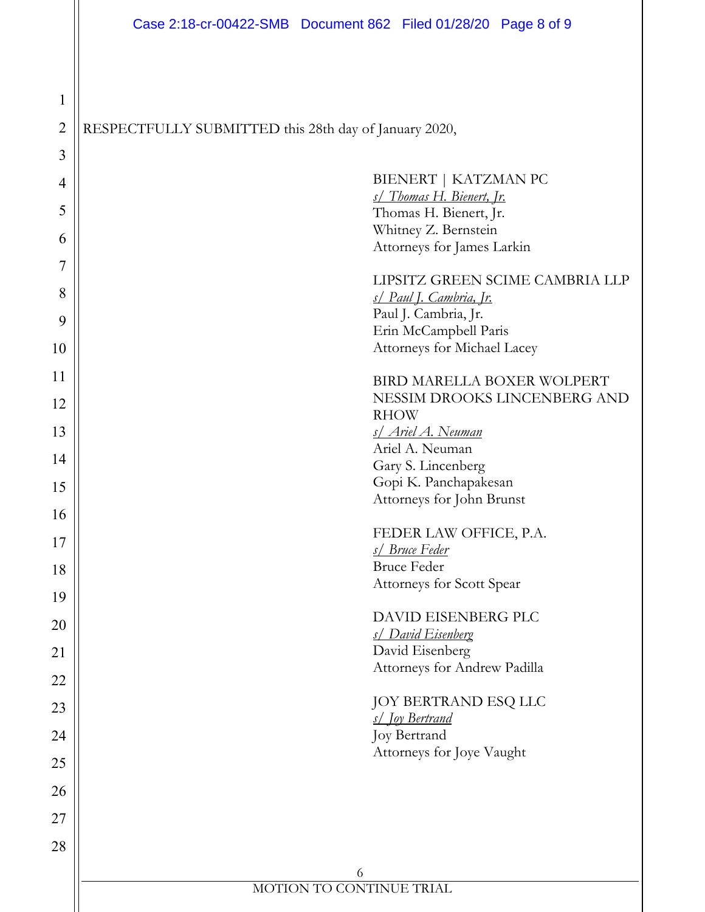2

1

3

4

5

6

7

8

9

10

11

12

13

14

15

16

17

18

19

20

21

22

23

24

25

26

27

28

6 MOTION TO CONTINUE TRIAL 12345678910111213141516171819202122232425262728RESPECTFULLY SUBMITTED this 28th day of January 2020, BIENERT | KATZMAN PC *s/ Thomas H. Bienert, Jr.*  Thomas H. Bienert, Jr. Whitney Z. Bernstein Attorneys for James Larkin LIPSITZ GREEN SCIME CAMBRIA LLP *s/ Paul J. Cambria, Jr.* Paul J. Cambria, Jr. Erin McCampbell Paris Attorneys for Michael Lacey BIRD MARELLA BOXER WOLPERT NESSIM DROOKS LINCENBERG AND RHOW *s/ Ariel A. Neuman* Ariel A. Neuman Gary S. Lincenberg Gopi K. Panchapakesan Attorneys for John Brunst FEDER LAW OFFICE, P.A. *s/ Bruce Feder* Bruce Feder Attorneys for Scott Spear DAVID EISENBERG PLC *s/ David Eisenberg* David Eisenberg Attorneys for Andrew Padilla JOY BERTRAND ESQ LLC *s/ Joy Bertrand* Joy Bertrand Attorneys for Joye Vaught